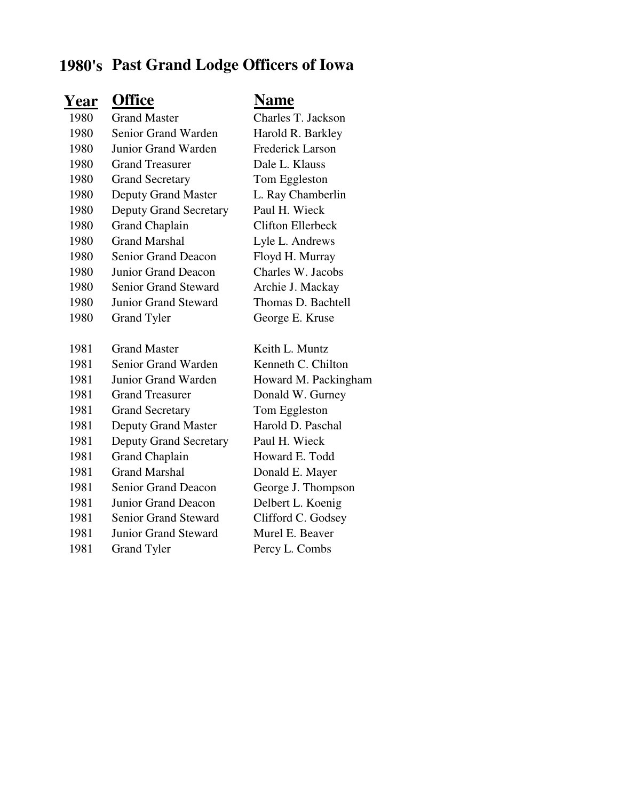## **1980's Past Grand Lodge Officers of Iowa**

## **Year Office Name**

| 1980 | <b>Grand Master</b>           | Charles T. Jackson       |
|------|-------------------------------|--------------------------|
| 1980 | Senior Grand Warden           | Harold R. Barkley        |
| 1980 | Junior Grand Warden           | <b>Frederick Larson</b>  |
| 1980 | <b>Grand Treasurer</b>        | Dale L. Klauss           |
| 1980 | <b>Grand Secretary</b>        | Tom Eggleston            |
| 1980 | <b>Deputy Grand Master</b>    | L. Ray Chamberlin        |
| 1980 | <b>Deputy Grand Secretary</b> | Paul H. Wieck            |
| 1980 | <b>Grand Chaplain</b>         | <b>Clifton Ellerbeck</b> |
| 1980 | <b>Grand Marshal</b>          | Lyle L. Andrews          |
| 1980 | <b>Senior Grand Deacon</b>    | Floyd H. Murray          |
| 1980 | <b>Junior Grand Deacon</b>    | Charles W. Jacobs        |
| 1980 | <b>Senior Grand Steward</b>   | Archie J. Mackay         |
| 1980 | <b>Junior Grand Steward</b>   | Thomas D. Bachtell       |
| 1980 | <b>Grand Tyler</b>            | George E. Kruse          |
|      |                               |                          |
| 1981 | <b>Grand Master</b>           | Keith L. Muntz           |
| 1981 | Senior Grand Warden           | Kenneth C. Chilton       |
| 1981 | Junior Grand Warden           | Howard M. Packingham     |
| 1981 | <b>Grand Treasurer</b>        | Donald W. Gurney         |
| 1981 | <b>Grand Secretary</b>        | Tom Eggleston            |
| 1981 | <b>Deputy Grand Master</b>    | Harold D. Paschal        |
| 1981 | <b>Deputy Grand Secretary</b> | Paul H. Wieck            |
| 1981 | <b>Grand Chaplain</b>         | Howard E. Todd           |
| 1981 | <b>Grand Marshal</b>          | Donald E. Mayer          |
| 1981 | <b>Senior Grand Deacon</b>    | George J. Thompson       |
| 1981 | <b>Junior Grand Deacon</b>    | Delbert L. Koenig        |
| 1981 | <b>Senior Grand Steward</b>   | Clifford C. Godsey       |
| 1981 | <b>Junior Grand Steward</b>   | Murel E. Beaver          |
|      |                               |                          |
| 1981 | <b>Grand Tyler</b>            | Percy L. Combs           |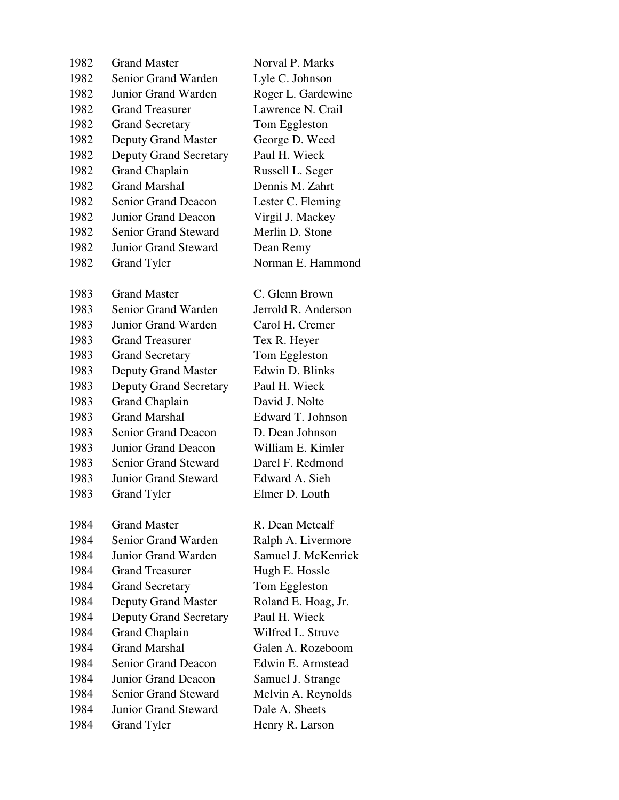| 1982         | <b>Grand Master</b>                        | Norval P. Marks                           |
|--------------|--------------------------------------------|-------------------------------------------|
| 1982         | Senior Grand Warden                        | Lyle C. Johnson                           |
| 1982         | Junior Grand Warden                        | Roger L. Gardewine                        |
| 1982         | <b>Grand Treasurer</b>                     | Lawrence N. Crail                         |
| 1982         | <b>Grand Secretary</b>                     | Tom Eggleston                             |
| 1982         | <b>Deputy Grand Master</b>                 | George D. Weed                            |
| 1982         | <b>Deputy Grand Secretary</b>              | Paul H. Wieck                             |
| 1982         | <b>Grand Chaplain</b>                      | Russell L. Seger                          |
| 1982         | <b>Grand Marshal</b>                       | Dennis M. Zahrt                           |
| 1982         | Senior Grand Deacon                        | Lester C. Fleming                         |
| 1982         | Junior Grand Deacon                        | Virgil J. Mackey                          |
| 1982         | <b>Senior Grand Steward</b>                | Merlin D. Stone                           |
| 1982         | <b>Junior Grand Steward</b>                | Dean Remy                                 |
| 1982         | <b>Grand Tyler</b>                         | Norman E. Hammond                         |
|              |                                            |                                           |
| 1983         | <b>Grand Master</b>                        | C. Glenn Brown                            |
| 1983         | Senior Grand Warden                        | Jerrold R. Anderson                       |
| 1983         | Junior Grand Warden                        | Carol H. Cremer                           |
| 1983         | <b>Grand Treasurer</b>                     | Tex R. Heyer                              |
| 1983         | <b>Grand Secretary</b>                     | Tom Eggleston                             |
| 1983         | <b>Deputy Grand Master</b>                 | Edwin D. Blinks                           |
| 1983         | <b>Deputy Grand Secretary</b>              | Paul H. Wieck                             |
| 1983         | <b>Grand Chaplain</b>                      | David J. Nolte                            |
| 1983         | <b>Grand Marshal</b>                       | Edward T. Johnson                         |
| 1983         | <b>Senior Grand Deacon</b>                 | D. Dean Johnson                           |
| 1983         | Junior Grand Deacon                        | William E. Kimler                         |
| 1983         | <b>Senior Grand Steward</b>                | Darel F. Redmond                          |
| 1983         | <b>Junior Grand Steward</b>                | Edward A. Sieh                            |
| 1983         | <b>Grand Tyler</b>                         | Elmer D. Louth                            |
|              |                                            |                                           |
| 1984<br>1984 | <b>Grand Master</b><br>Senior Grand Warden | R. Dean Metcalf                           |
| 1984         | Junior Grand Warden                        | Ralph A. Livermore<br>Samuel J. McKenrick |
|              |                                            |                                           |
| 1984         | <b>Grand Treasurer</b>                     | Hugh E. Hossle                            |
| 1984         | <b>Grand Secretary</b>                     | Tom Eggleston                             |
| 1984         | <b>Deputy Grand Master</b>                 | Roland E. Hoag, Jr.                       |
| 1984         | <b>Deputy Grand Secretary</b>              | Paul H. Wieck                             |
| 1984         | <b>Grand Chaplain</b>                      | Wilfred L. Struve                         |
| 1984         | <b>Grand Marshal</b>                       | Galen A. Rozeboom                         |
| 1984         | <b>Senior Grand Deacon</b>                 | Edwin E. Armstead                         |
| 1984         | Junior Grand Deacon                        | Samuel J. Strange                         |
| 1984         | <b>Senior Grand Steward</b>                | Melvin A. Reynolds                        |
| 1984         | <b>Junior Grand Steward</b>                | Dale A. Sheets                            |
| 1984         | <b>Grand Tyler</b>                         | Henry R. Larson                           |
|              |                                            |                                           |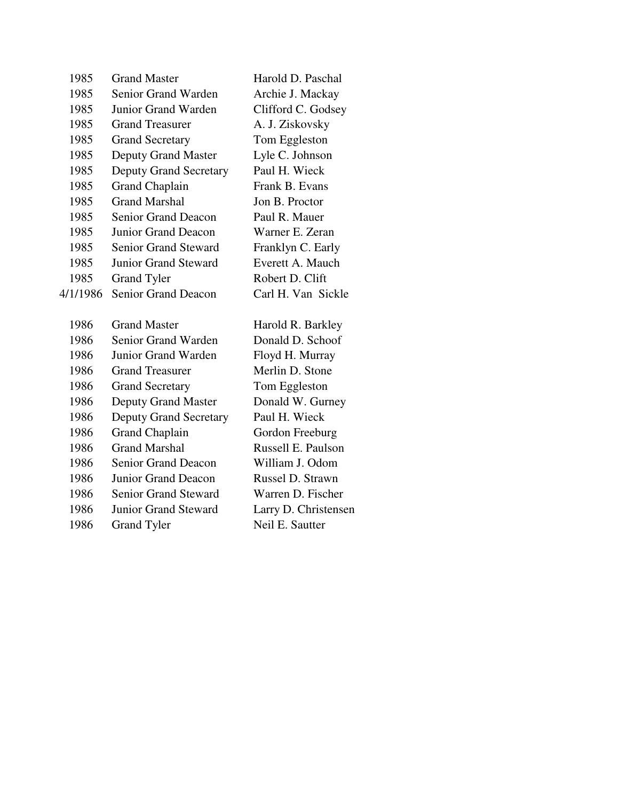| 1985     | <b>Grand Master</b>           | Harold D. Paschal    |
|----------|-------------------------------|----------------------|
| 1985     | Senior Grand Warden           | Archie J. Mackay     |
| 1985     | Junior Grand Warden           | Clifford C. Godsey   |
| 1985     | <b>Grand Treasurer</b>        | A. J. Ziskovsky      |
| 1985     | <b>Grand Secretary</b>        | Tom Eggleston        |
| 1985     | <b>Deputy Grand Master</b>    | Lyle C. Johnson      |
| 1985     | <b>Deputy Grand Secretary</b> | Paul H. Wieck        |
| 1985     | <b>Grand Chaplain</b>         | Frank B. Evans       |
| 1985     | <b>Grand Marshal</b>          | Jon B. Proctor       |
| 1985     | <b>Senior Grand Deacon</b>    | Paul R. Mauer        |
| 1985     | <b>Junior Grand Deacon</b>    | Warner E. Zeran      |
| 1985     | <b>Senior Grand Steward</b>   | Franklyn C. Early    |
| 1985     | <b>Junior Grand Steward</b>   | Everett A. Mauch     |
| 1985     | <b>Grand Tyler</b>            | Robert D. Clift      |
| 4/1/1986 | <b>Senior Grand Deacon</b>    | Carl H. Van Sickle   |
|          |                               |                      |
| 1986     | <b>Grand Master</b>           | Harold R. Barkley    |
| 1986     | Senior Grand Warden           | Donald D. Schoof     |
| 1986     | Junior Grand Warden           | Floyd H. Murray      |
| 1986     | <b>Grand Treasurer</b>        | Merlin D. Stone      |
| 1986     | <b>Grand Secretary</b>        | Tom Eggleston        |
| 1986     | <b>Deputy Grand Master</b>    | Donald W. Gurney     |
| 1986     | <b>Deputy Grand Secretary</b> | Paul H. Wieck        |
| 1986     | <b>Grand Chaplain</b>         | Gordon Freeburg      |
| 1986     | <b>Grand Marshal</b>          | Russell E. Paulson   |
| 1986     | <b>Senior Grand Deacon</b>    | William J. Odom      |
| 1986     | Junior Grand Deacon           | Russel D. Strawn     |
| 1986     | <b>Senior Grand Steward</b>   | Warren D. Fischer    |
| 1986     | <b>Junior Grand Steward</b>   | Larry D. Christensen |
| 1986     | <b>Grand Tyler</b>            | Neil E. Sautter      |
|          |                               |                      |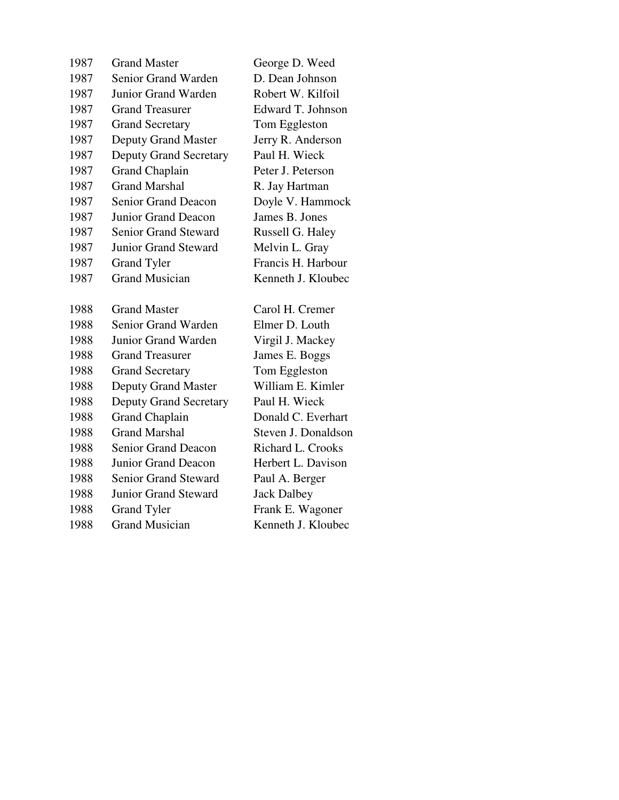| 1987 | <b>Grand Master</b>           | George D. Weed      |
|------|-------------------------------|---------------------|
| 1987 | Senior Grand Warden           | D. Dean Johnson     |
| 1987 | Junior Grand Warden           | Robert W. Kilfoil   |
| 1987 | <b>Grand Treasurer</b>        | Edward T. Johnson   |
| 1987 | <b>Grand Secretary</b>        | Tom Eggleston       |
| 1987 | <b>Deputy Grand Master</b>    | Jerry R. Anderson   |
| 1987 | <b>Deputy Grand Secretary</b> | Paul H. Wieck       |
| 1987 | <b>Grand Chaplain</b>         | Peter J. Peterson   |
| 1987 | <b>Grand Marshal</b>          | R. Jay Hartman      |
| 1987 | <b>Senior Grand Deacon</b>    | Doyle V. Hammock    |
| 1987 | Junior Grand Deacon           | James B. Jones      |
| 1987 | <b>Senior Grand Steward</b>   | Russell G. Haley    |
| 1987 | <b>Junior Grand Steward</b>   | Melvin L. Gray      |
| 1987 | <b>Grand Tyler</b>            | Francis H. Harbour  |
| 1987 | <b>Grand Musician</b>         | Kenneth J. Kloubec  |
|      |                               |                     |
| 1988 | <b>Grand Master</b>           | Carol H. Cremer     |
|      |                               |                     |
| 1988 | Senior Grand Warden           | Elmer D. Louth      |
| 1988 | Junior Grand Warden           | Virgil J. Mackey    |
| 1988 | <b>Grand Treasurer</b>        | James E. Boggs      |
| 1988 | <b>Grand Secretary</b>        | Tom Eggleston       |
| 1988 | <b>Deputy Grand Master</b>    | William E. Kimler   |
| 1988 | <b>Deputy Grand Secretary</b> | Paul H. Wieck       |
| 1988 | <b>Grand Chaplain</b>         | Donald C. Everhart  |
| 1988 | <b>Grand Marshal</b>          | Steven J. Donaldson |
| 1988 | <b>Senior Grand Deacon</b>    | Richard L. Crooks   |
| 1988 | Junior Grand Deacon           | Herbert L. Davison  |
| 1988 | <b>Senior Grand Steward</b>   | Paul A. Berger      |
| 1988 | <b>Junior Grand Steward</b>   | <b>Jack Dalbey</b>  |
| 1988 | <b>Grand Tyler</b>            | Frank E. Wagoner    |
| 1988 | <b>Grand Musician</b>         | Kenneth J. Kloubec  |